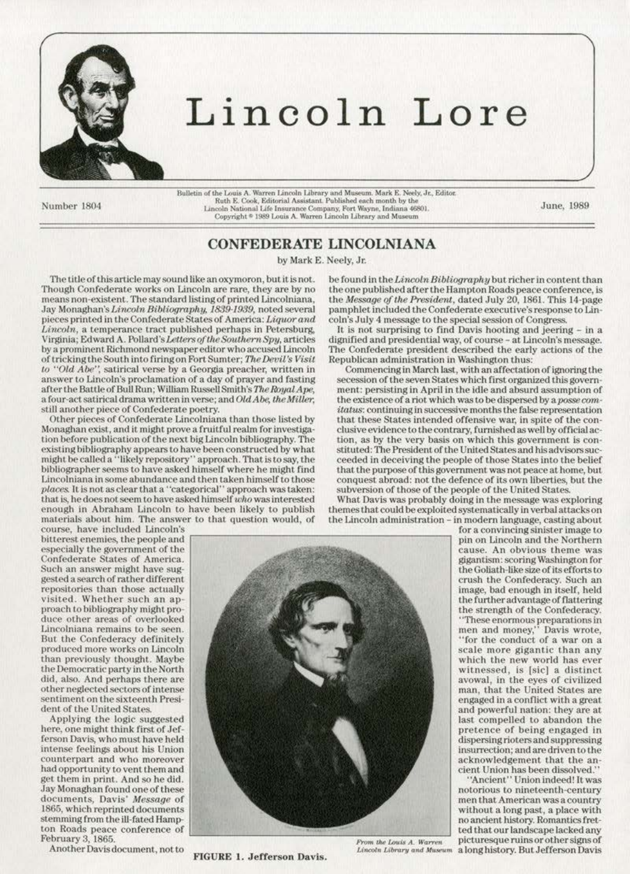

## Lincoln Lore

Number 1804

 $\begin{tabular}{p{0.8cm} \textbf{Bulletin of the Louis A. Warren Lincoln Library and Museum. Mark E. Newly, Jr., Editor. Ruth E. Cook, Editorial Assistant, Published each month by the Lincoln National Life Insurance Company, Fort Wayne, Indiana 46801. Copyright © 1989 Louis A. Warren Lincoln Library and Museum\\ \end{tabular}$ 

June, 1989

## **CONFEDERATE LINCOLNIANA**

by Mark E. Neely, Jr.

The title of this article may sound like an oxymoron, but it is not. Though Confederate works on Lincoln are rare, they are by no means non-existent. The standard listing of printed Lincolniana, Jay Monaghan's Lincoln Bibliography, 1839-1939, noted several pieces printed in the Confederate States of America: Liquor and Lincoln, a temperance tract published perhaps in Petersburg, Virginia; Edward A. Pollard's Letters of the Southern Spy, articles by a prominent Richmond newspaper editor who accused Lincoln of tricking the South into firing on Fort Sumter; The Devil's Visit to "Old Abe", satirical verse by a Georgia preacher, written in answer to Lincoln's proclamation of a day of prayer and fasting after the Battle of Bull Run; William Russell Smith's The Royal Ape, a four-act satirical drama written in verse; and Old Abe, the Miller, still another piece of Confederate poetry.

Other pieces of Confederate Lincolniana than those listed by Monaghan exist, and it might prove a fruitful realm for investigation before publication of the next big Lincoln bibliography. The existing bibliography appears to have been constructed by what might be called a "likely repository" approach. That is to say, the<br>bibliographer seems to have asked himself where he might find Lincolniana in some abundance and then taken himself to those places. It is not as clear that a "categorical" approach was taken: that is, he does not seem to have asked himself who was interested enough in Abraham Lincoln to have been likely to publish materials about him. The answer to that question would, of

be found in the Lincoln Bibliography but richer in content than the one published after the Hampton Roads peace conference, is the Message of the President, dated July 20, 1861. This 14-page pamphlet included the Confederate executive's response to Lincoln's July 4 message to the special session of Congress.

It is not surprising to find Davis hooting and jeering  $-$  in a dignified and presidential way, of course - at Lincoln's message. The Confederate president described the early actions of the Republican administration in Washington thus:

Commencing in March last, with an affectation of ignoring the secession of the seven States which first organized this government: persisting in April in the idle and absurd assumption of the existence of a riot which was to be dispersed by a posse comitatus: continuing in successive months the false representation that these States intended offensive war, in spite of the conclusive evidence to the contrary, furnished as well by official action, as by the very basis on which this government is constituted: The President of the United States and his advisors succeeded in deceiving the people of those States into the belief that the purpose of this government was not peace at home, but conquest abroad: not the defence of its own liberties, but the subversion of those of the people of the United States.

What Davis was probably doing in the message was exploring themes that could be exploited systematically in verbal attacks on the Lincoln administration - in modern language, casting about

course, have included Lincoln's bitterest enemies, the people and especially the government of the Confederate States of America. Such an answer might have suggested a search of rather different repositories than those actually visited. Whether such an approach to bibliography might produce other areas of overlooked Lincolniana remains to be seen. But the Confederacy definitely produced more works on Lincoln than previously thought. Maybe the Democratic party in the North did, also. And perhaps there are other neglected sectors of intense sentiment on the sixteenth President of the United States.

Applying the logic suggested here, one might think first of Jefferson Davis, who must have held intense feelings about his Union counterpart and who moreover had opportunity to vent them and get them in print. And so he did. Jay Monaghan found one of these documents, Davis' Message of 1865, which reprinted documents stemming from the ill-fated Hampton Roads peace conference of February 3, 1865.

Another Davis document, not to



**FIGURE 1. Jefferson Davis.** 

for a convincing sinister image to pin on Lincoln and the Northern cause. An obvious theme was gigantism: scoring Washington for the Goliath-like size of its efforts to crush the Confederacy. Such an image, bad enough in itself, held the further advantage of flattering the strength of the Confederacy.

"These enormous preparations in<br>men and money," Davis wrote, 'for the conduct of a war on a scale more gigantic than any which the new world has ever witnessed, is [sic] a distinct avowal, in the eyes of civilized man, that the United States are engaged in a conflict with a great and powerful nation: they are at last compelled to abandon the pretence of being engaged in dispersing rioters and suppressing insurrection; and are driven to the acknowledgement that the an-

cient Union has been dissolved."<br>"Ancient" Union indeed! It was notorious to nineteenth-century men that American was a country without a long past, a place with no ancient history. Romantics fretted that our landscape lacked any picturesque ruins or other signs of Lincoln Library and Museum a long history. But Jefferson Davis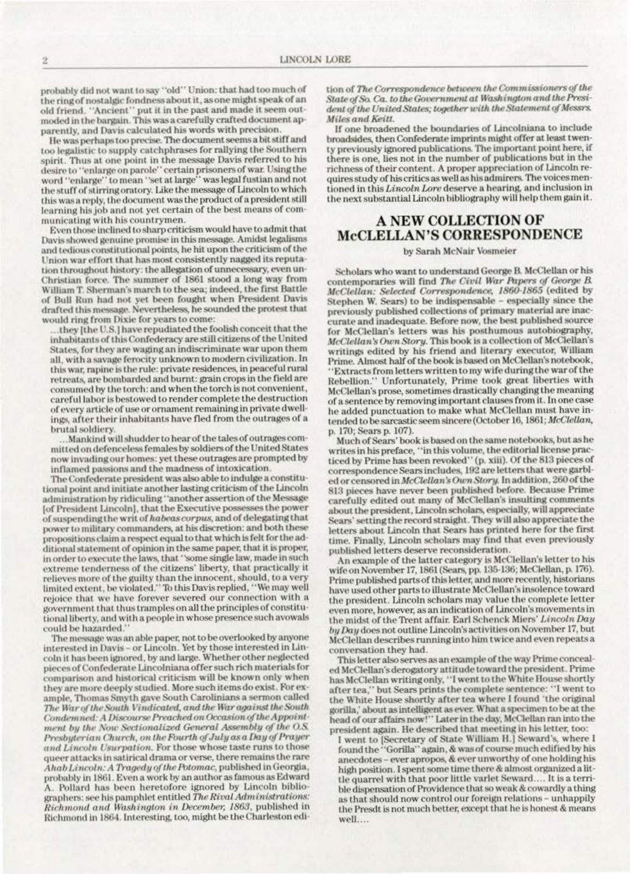probably did not want to say "old" Union: that had too much of the ring of nostalgic fondness about it, as one might speak of an old friend. "Ancient" put it in the past and made it seem outmoded in the bargain. This was a carefully crafted document apparently, and Davis calculated his words with precision.

He was perhaps too precise. The document seems a bit stiff and too legalistic to supply catchphrases for rallying the Southern spirit. Thus at one point in the message Davis referred to his desire to "enlarge on parole" certain prisoners of war. Using the word "enlarge" to mean "set at large" was legal fustian and not the stuff of stirring oratory. Like the message of Lincoln to which this was a reply, the document was the product of a president still learning his job and not yet certain of the best means of communicating with his countrymen.

Even those inclined to sharp criticism would have to admit that Davis showed genuine promise in this message. Amidst legalisms and tedious constitutional points, he hit upon the criticism of the Union war effort that has most consistently nagged its reputation throughout history: the allegation of unnecessary, even un-Christian force. The summer of 1861 stood a long way from William T. Sherman's march to the sea; indeed, the first Battle of Bull Run had not yet been fought when President Davis drafted this message. Nevertheless, he sounded the protest that would ring from Dixie for years to come:

they [the U.S.] have repudiated the foolish conceit that the inhabitants of this Confederacy are still citizens of the United States, for they are waging an indiscriminate war upon them all, with a savage ferocity unknown to modern civilization. In this war, rapine is the rule: private residences, in peaceful rural retreats, are bombarded and burnt: grain crops in the field are consumed by the torch: and when the torch is not convenient, careful labor is bestowed to render complete the destruction of every article of use or ornament remaining in private dwellings, after their inhabitants have fled from the outrages of a brutal soldiery

Mankind will shudder to hear of the tales of outrages committed on defenceless females by soldiers of the United States now invading our homes: yet these outrages are prompted by inflamed passions and the madness of intoxication.

The Confederate president was also able to indulge a constitutional point and initiate another lasting criticism of the Lincoln administration by ridiculing "another assertion of the Message [of President Lincoln], that the Executive possesses the power of suspending the writ of habeas corpus, and of delegating that power to military commanders, at his discretion: and both these propositions claim a respect equal to that which is felt for the additional statement of opinion in the same paper, that it is proper, in order to execute the laws, that "some single law, made in such extreme tenderness of the citizens' liberty, that practically it relieves more of the guilty than the innocent, should, to a very limited extent, be violated." To this Davis replied, "We may well rejoice that we have forever severed our connection with a government that thus tramples on all the principles of constitutional liberty, and with a people in whose presence such avowals could be hazarded.

The message was an able paper, not to be overlooked by anyone interested in Davis - or Lincoln. Yet by those interested in Lincoln it has been ignored, by and large. Whether other neglected pieces of Confederate Lincolniana offer such rich materials for comparison and historical criticism will be known only when they are more deeply studied. More such items do exist. For example, Thomas Smyth gave South Carolinians a sermon called The War of the South Vindicated, and the War against the South Condemned: A Discourse Preached on Occasion of the Appointment by the Now Sectionalized General Assembly of the O.S. Presbyterian Church, on the Fourth of July as a Day of Prayer and Lincoln Usurpation. For those whose taste runs to those queer attacks in satirical drama or verse, there remains the rare Ahab Lincoln: A Tragedy of the Potomac, published in Georgia, probably in 1861. Even a work by an author as famous as Edward A. Pollard has been heretofore ignored by Lincoln bibliographers: see his pamphlet entitled The Rival Administrations: Richmond and Washington in December, 1863, published in Richmond in 1864. Interesting, too, might be the Charleston edition of The Correspondence between the Commissioners of the State of So. Ca. to the Government at Washington and the President of the United States; together with the Statement of Messrs. Miles and Keitt.

If one broadened the boundaries of Lincolniana to include broadsides, then Confederate imprints might offer at least twenty previously ignored publications. The important point here, if there is one, lies not in the number of publications but in the richness of their content. A proper appreciation of Lincoln requires study of his critics as well as his admirers. The voices mentioned in this Lincoln Lore deserve a hearing, and inclusion in the next substantial Lincoln bibliography will help them gain it.

## **A NEW COLLECTION OF McCLELLAN'S CORRESPONDENCE**

## by Sarah McNair Vosmeier

Scholars who want to understand George B. McClellan or his contemporaries will find The Civil War Papers of George B. McClellan: Selected Correspondence, 1860-1865 (edited by Stephen W. Sears) to be indispensable - especially since the previously published collections of primary material are inaccurate and inadequate. Before now, the best published source for McClellan's letters was his posthumous autobiography, McClellan's Own Story. This book is a collection of McClellan's writings edited by his friend and literary executor, William Prime. Almost half of the book is based on McClellan's notebook, 'Extracts from letters written to my wife during the war of the Rebellion." Unfortunately, Prime took great liberties with McClellan's prose, sometimes drastically changing the meaning of a sentence by removing important clauses from it. In one case he added punctuation to make what McClellan must have intended to be sarcastic seem sincere (October 16, 1861; McClellan, p. 170; Sears p. 107).

Much of Sears' book is based on the same notebooks, but as he writes in his preface, "in this volume, the editorial license practiced by Prime has been revoked" (p. xiii). Of the 813 pieces of<br>correspondence Sears includes, 192 are letters that were garbled or censored in McClellan's Own Story. In addition, 260 of the 813 pieces have never been published before. Because Prime carefully edited out many of McClellan's insulting comments about the president. Lincoln scholars, especially, will appreciate Sears' setting the record straight. They will also appreciate the letters about Lincoln that Sears has printed here for the first time. Finally, Lincoln scholars may find that even previously published letters deserve reconsideration.

An example of the latter category is McClellan's letter to his wife on November 17, 1861 (Sears, pp. 135-136; McClellan, p. 176). Prime published parts of this letter, and more recently, historians have used other parts to illustrate McClellan's insolence toward the president. Lincoln scholars may value the complete letter even more, however, as an indication of Lincoln's movements in the midst of the Trent affair. Earl Schenck Miers' Lincoln Day by Day does not outline Lincoln's activities on November 17, but McClellan describes running into him twice and even repeats a conversation they had.

This letter also serves as an example of the way Prime concealed McClellan's derogatory attitude toward the president. Prime has McClellan writing only, "I went to the White House shortly after tea," but Sears prints the complete sentence: "I went to the White House shortly after tea where I found 'the original gorilla,' about as intelligent as ever. What a specimen to be at the head of our affairs now!" Later in the day, McClellan ran into the president again. He described that meeting in his letter, too:

I went to [Secretary of State William H.] Seward's, where I found the "Gorilla" again, & was of course much edified by his anecdotes - ever apropos, & ever unworthy of one holding his high position. I spent some time there & almost organized a little quarrel with that poor little varlet Seward.... It is a terrible dispensation of Providence that so weak & cowardly a thing as that should now control our foreign relations - unhappily the Presdt is not much better, except that he is honest & means well....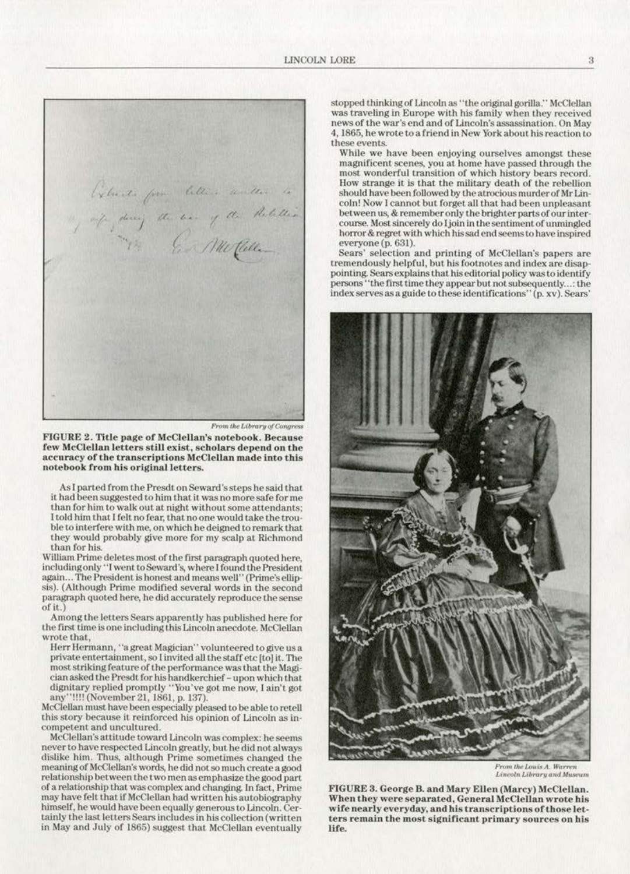*'{,* I *('* 1 *It* //, if , doing the host of the Partition .<br>"I'm . . . . Me Calle

From the Library of Congress

FIGURE 2. Title page of McClellan's notebook. Because **few McClellan letters still exist, scholars depend on the accuracy of the transcriptions McClellan made into this**  notebook from his original letters.

As I parted from the Presdt on Seward's steps he said that it had been suggested to him that it was no more safe for me than for him to walk out at night without some attendants: I told him that I felt no fear, that no one would take the trou**blc LO interfere with me, on which he deigned to remark that**  they would probably give more for my scalp at Richmond than for his.

William Prime deletes most of the first paragraph quoted here, including only "I went to Seward's, where I found the President again ... The President is honest and means well" (Prime's ellipsis). (Although Prime modified several words in the second paragraph quoted here, he did accurately reproduce the sense or it.)

Among the letters Sears apparently has published here for the first time is one including this Lincoln anecdote. McClellan wrote that,

Herr Hermann, "a great Magician" volunteered to give us a private entertainment, so I invited all the staff etc [to] it. The  $most$  striking feature of the performance was that the Magician asked the Presdt for his handkerchier- upon which that dignitary replied promptly "You've got me now, I ain't got any"!!!! (November 21, 1861, p. 137).

McClellan must have been especially pleased to be able to retell **this story because it reinforced his opinion of Lincoln as in· competent and uncultured.** 

never to have respected Lincoln greatly, but he did not always dislike him. Thus, although Prime sometimes changed the meaning or McCleUan·s words, he did not so much create a good **relationship between the two men as emphasize the good part**  of a relationship that was complex and changing. In fact, Prime may have felt that if McClellan had written his autobiography himself, he would have been equally generous to Lincoln. Cer**tainly the last letters Scars includes in his collection (written**  in May and July or 1865) suggest that McClellan eventually stopped thinking of Lincoln as "the original gorilla." McClellan **was traveling in Europe with his family when they received news of the war·s end and of Lincoln's assassination. On May 4, 1865, he wrote to a friend ln New York about his reaction to these events.** 

While we have been enjoying ourselves amongst these magnificent scenes, you at home have passed through the **most wonderful transition of which history bears record.**  How strange it is that the military death of the rebellion should have been followed by the atrocious murder of Mr Lincoln! Now I cannot but forget all that had been unpleasant between us, & remember only the brighter parts of our inter**course. Most sincerely do Jjoin in the sentiment. of muningled horror&regret with which his sad end seems to have inspired**  everyone(p. 631).

**Sears' selection and printing of McClellan's papers are**  tremendously helpful, but his footnotes and index are disappointing. Sears explains that his editorial policy was to identify persons "the first time they appear but not subsequently ...: the **indexservesasaguide to these identifications' ' (p. xv). Sean;'** 



Lincoln Library and Museum

FIGURE 3. George B. and Mary Ellen (Marcy) McClellan. **\VJ1en they were separated, General McClellan wrote his wife nearly everyday, and his transcriptions of those let**ters remain the most significant primary sources on his life.